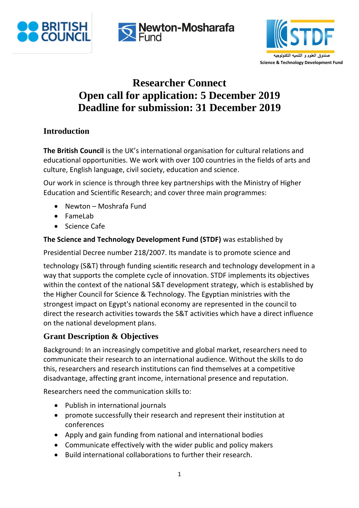





# **Researcher Connect Open call for application: 5 December 2019 Deadline for submission: 31 December 2019**

## **Introduction**

**The British Council** is the UK's international organisation for cultural relations and educational opportunities. We work with over 100 countries in the fields of arts and culture, English language, civil society, education and science.

Our work in science is through three key partnerships with the Ministry of Higher Education and Scientific Research; and cover three main programmes:

- Newton Moshrafa Fund
- FameLab
- Science Cafe

#### **The Science and Technology Development Fund (STDF)** was established by

Presidential Decree number 218/2007. Its mandate is to promote science and

technology (S&T) through funding **scientific** research and technology development in a way that supports the complete cycle of innovation. STDF implements its objectives within the context of the national S&T development strategy, which is established by the Higher Council for Science & Technology. The Egyptian ministries with the strongest impact on Egypt's national economy are represented in the council to direct the research activities towards the S&T activities which have a direct influence on the national development plans.

## **Grant Description & Objectives**

Background: In an increasingly competitive and global market, researchers need to communicate their research to an international audience. Without the skills to do this, researchers and research institutions can find themselves at a competitive disadvantage, affecting grant income, international presence and reputation.

Researchers need the communication skills to:

- Publish in international journals
- promote successfully their research and represent their institution at conferences
- Apply and gain funding from national and international bodies
- Communicate effectively with the wider public and policy makers
- Build international collaborations to further their research.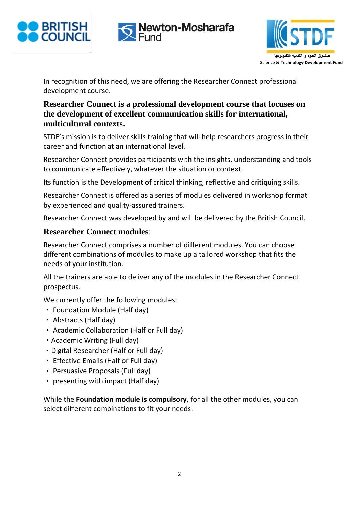





In recognition of this need, we are offering the Researcher Connect professional development course.

## **Researcher Connect is a professional development course that focuses on the development of excellent communication skills for international, multicultural contexts.**

STDF's mission is to deliver skills training that will help researchers progress in their career and function at an international level.

Researcher Connect provides participants with the insights, understanding and tools to communicate effectively, whatever the situation or context.

Its function is the Development of critical thinking, reflective and critiquing skills.

Researcher Connect is offered as a series of modules delivered in workshop format by experienced and quality-assured trainers.

Researcher Connect was developed by and will be delivered by the British Council.

## **Researcher Connect modules**:

Researcher Connect comprises a number of different modules. You can choose different combinations of modules to make up a tailored workshop that fits the needs of your institution.

All the trainers are able to deliver any of the modules in the Researcher Connect prospectus.

We currently offer the following modules:

- Foundation Module (Half day)
- Abstracts (Half day)
- Academic Collaboration (Half or Full day)
- Academic Writing (Full day)
- Digital Researcher (Half or Full day)
- Effective Emails (Half or Full day)
- Persuasive Proposals (Full day)
- $\cdot$  presenting with impact (Half day)

While the **Foundation module is compulsory**, for all the other modules, you can select different combinations to fit your needs.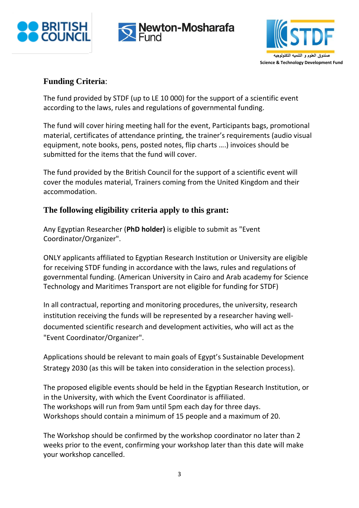





#### **Funding Criteria**:

The fund provided by STDF (up to LE 10 000) for the support of a scientific event according to the laws, rules and regulations of governmental funding.

The fund will cover hiring meeting hall for the event, Participants bags, promotional material, certificates of attendance printing, the trainer's requirements (audio visual equipment, note books, pens, posted notes, flip charts ….) invoices should be submitted for the items that the fund will cover.

The fund provided by the British Council for the support of a scientific event will cover the modules material, Trainers coming from the United Kingdom and their accommodation.

#### **The following eligibility criteria apply to this grant:**

Any Egyptian Researcher (**PhD holder)** is eligible to submit as "Event Coordinator/Organizer".

ONLY applicants affiliated to Egyptian Research Institution or University are eligible for receiving STDF funding in accordance with the laws, rules and regulations of governmental funding. (American University in Cairo and Arab academy for Science Technology and Maritimes Transport are not eligible for funding for STDF)

In all contractual, reporting and monitoring procedures, the university, research institution receiving the funds will be represented by a researcher having welldocumented scientific research and development activities, who will act as the "Event Coordinator/Organizer".

Applications should be relevant to main goals of Egypt's Sustainable Development Strategy 2030 (as this will be taken into consideration in the selection process).

The proposed eligible events should be held in the Egyptian Research Institution, or in the University, with which the Event Coordinator is affiliated. The workshops will run from 9am until 5pm each day for three days. Workshops should contain a minimum of 15 people and a maximum of 20.

The Workshop should be confirmed by the workshop coordinator no later than 2 weeks prior to the event, confirming your workshop later than this date will make your workshop cancelled.